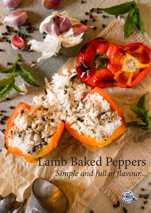# Lamb Baked Peppers *Simple and full of flavour...*